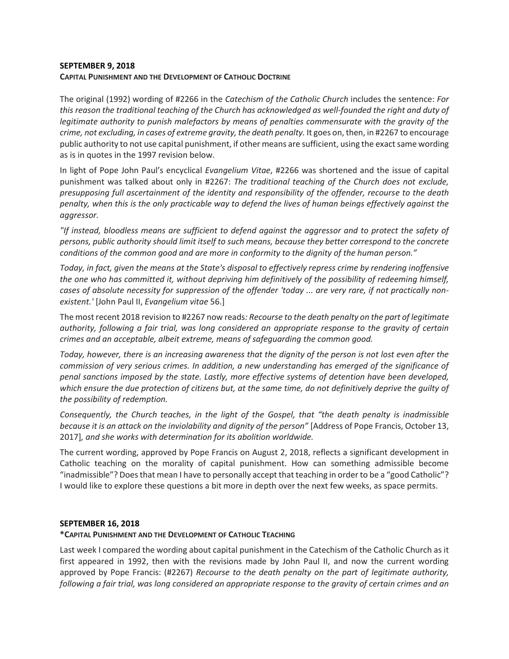## **SEPTEMBER 9, 2018 CAPITAL PUNISHMENT AND THE DEVELOPMENT OF CATHOLIC DOCTRINE**

The original (1992) wording of #2266 in the *Catechism of the Catholic Church* includes the sentence: *For this reason the traditional teaching of the Church has acknowledged as well-founded the right and duty of legitimate authority to punish malefactors by means of penalties commensurate with the gravity of the crime, not excluding, in cases of extreme gravity, the death penalty.* It goes on, then, in #2267 to encourage public authority to not use capital punishment, if other means are sufficient, using the exact same wording as is in quotes in the 1997 revision below.

In light of Pope John Paul's encyclical *Evangelium Vitae*, #2266 was shortened and the issue of capital punishment was talked about only in #2267: *The traditional teaching of the Church does not exclude, presupposing full ascertainment of the identity and responsibility of the offender, recourse to the death penalty, when this is the only practicable way to defend the lives of human beings effectively against the aggressor.*

*"If instead, bloodless means are sufficient to defend against the aggressor and to protect the safety of persons, public authority should limit itself to such means, because they better correspond to the concrete conditions of the common good and are more in conformity to the dignity of the human person."*

*Today, in fact, given the means at the State's disposal to effectively repress crime by rendering inoffensive the one who has committed it, without depriving him definitively of the possibility of redeeming himself, cases of absolute necessity for suppression of the offender 'today ... are very rare, if not practically nonexistent.'* [John Paul II, *Evangelium vitae* 56.]

The most recent 2018 revision to #2267 now reads*: Recourse to the death penalty on the part of legitimate authority, following a fair trial, was long considered an appropriate response to the gravity of certain crimes and an acceptable, albeit extreme, means of safeguarding the common good.*

*Today, however, there is an increasing awareness that the dignity of the person is not lost even after the commission of very serious crimes. In addition, a new understanding has emerged of the significance of penal sanctions imposed by the state. Lastly, more effective systems of detention have been developed, which ensure the due protection of citizens but, at the same time, do not definitively deprive the guilty of the possibility of redemption.*

*Consequently, the Church teaches, in the light of the Gospel, that "the death penalty is inadmissible because it is an attack on the inviolability and dignity of the person"* [Address of Pope Francis, October 13, 2017]*, and she works with determination for its abolition worldwide.*

The current wording, approved by Pope Francis on August 2, 2018, reflects a significant development in Catholic teaching on the morality of capital punishment. How can something admissible become "inadmissible"? Does that mean I have to personally accept that teaching in order to be a "good Catholic"? I would like to explore these questions a bit more in depth over the next few weeks, as space permits.

# **SEPTEMBER 16, 2018**

# **\*CAPITAL PUNISHMENT AND THE DEVELOPMENT OF CATHOLIC TEACHING**

Last week I compared the wording about capital punishment in the Catechism of the Catholic Church as it first appeared in 1992, then with the revisions made by John Paul II, and now the current wording approved by Pope Francis: (#2267) *Recourse to the death penalty on the part of legitimate authority, following a fair trial, was long considered an appropriate response to the gravity of certain crimes and an*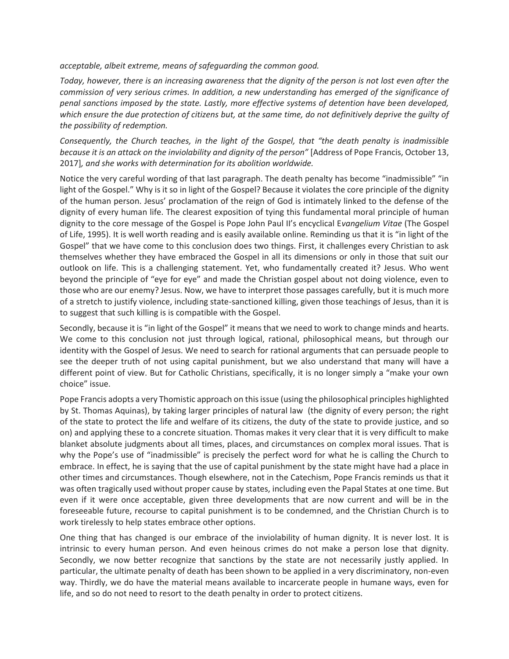*acceptable, albeit extreme, means of safeguarding the common good.*

*Today, however, there is an increasing awareness that the dignity of the person is not lost even after the commission of very serious crimes. In addition, a new understanding has emerged of the significance of penal sanctions imposed by the state. Lastly, more effective systems of detention have been developed, which ensure the due protection of citizens but, at the same time, do not definitively deprive the guilty of the possibility of redemption.*

*Consequently, the Church teaches, in the light of the Gospel, that "the death penalty is inadmissible because it is an attack on the inviolability and dignity of the person"* [Address of Pope Francis, October 13, 2017]*, and she works with determination for its abolition worldwide.*

Notice the very careful wording of that last paragraph. The death penalty has become "inadmissible" "in light of the Gospel." Why is it so in light of the Gospel? Because it violates the core principle of the dignity of the human person. Jesus' proclamation of the reign of God is intimately linked to the defense of the dignity of every human life. The clearest exposition of tying this fundamental moral principle of human dignity to the core message of the Gospel is Pope John Paul II's encyclical E*vangelium Vitae* (The Gospel of Life, 1995). It is well worth reading and is easily available online. Reminding us that it is "in light of the Gospel" that we have come to this conclusion does two things. First, it challenges every Christian to ask themselves whether they have embraced the Gospel in all its dimensions or only in those that suit our outlook on life. This is a challenging statement. Yet, who fundamentally created it? Jesus. Who went beyond the principle of "eye for eye" and made the Christian gospel about not doing violence, even to those who are our enemy? Jesus. Now, we have to interpret those passages carefully, but it is much more of a stretch to justify violence, including state-sanctioned killing, given those teachings of Jesus, than it is to suggest that such killing is is compatible with the Gospel.

Secondly, because it is "in light of the Gospel" it means that we need to work to change minds and hearts. We come to this conclusion not just through logical, rational, philosophical means, but through our identity with the Gospel of Jesus. We need to search for rational arguments that can persuade people to see the deeper truth of not using capital punishment, but we also understand that many will have a different point of view. But for Catholic Christians, specifically, it is no longer simply a "make your own choice" issue.

Pope Francis adopts a very Thomistic approach on this issue (using the philosophical principles highlighted by St. Thomas Aquinas), by taking larger principles of natural law (the dignity of every person; the right of the state to protect the life and welfare of its citizens, the duty of the state to provide justice, and so on) and applying these to a concrete situation. Thomas makes it very clear that it is very difficult to make blanket absolute judgments about all times, places, and circumstances on complex moral issues. That is why the Pope's use of "inadmissible" is precisely the perfect word for what he is calling the Church to embrace. In effect, he is saying that the use of capital punishment by the state might have had a place in other times and circumstances. Though elsewhere, not in the Catechism, Pope Francis reminds us that it was often tragically used without proper cause by states, including even the Papal States at one time. But even if it were once acceptable, given three developments that are now current and will be in the foreseeable future, recourse to capital punishment is to be condemned, and the Christian Church is to work tirelessly to help states embrace other options.

One thing that has changed is our embrace of the inviolability of human dignity. It is never lost. It is intrinsic to every human person. And even heinous crimes do not make a person lose that dignity. Secondly, we now better recognize that sanctions by the state are not necessarily justly applied. In particular, the ultimate penalty of death has been shown to be applied in a very discriminatory, non-even way. Thirdly, we do have the material means available to incarcerate people in humane ways, even for life, and so do not need to resort to the death penalty in order to protect citizens.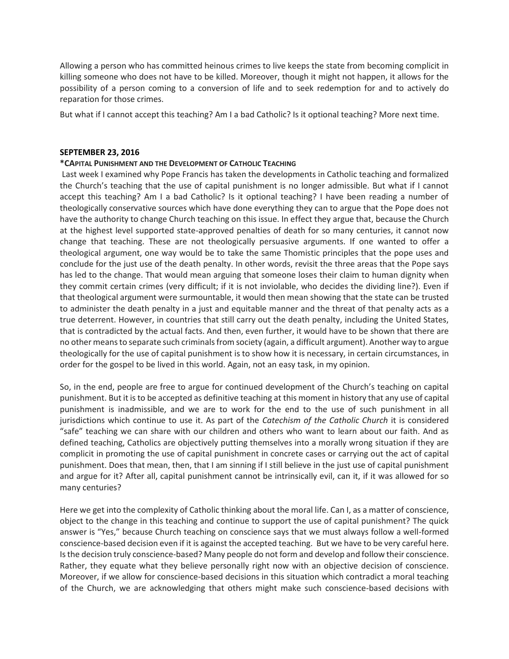Allowing a person who has committed heinous crimes to live keeps the state from becoming complicit in killing someone who does not have to be killed. Moreover, though it might not happen, it allows for the possibility of a person coming to a conversion of life and to seek redemption for and to actively do reparation for those crimes.

But what if I cannot accept this teaching? Am I a bad Catholic? Is it optional teaching? More next time.

### **SEPTEMBER 23, 2016**

### **\*CAPITAL PUNISHMENT AND THE DEVELOPMENT OF CATHOLIC TEACHING**

Last week I examined why Pope Francis has taken the developments in Catholic teaching and formalized the Church's teaching that the use of capital punishment is no longer admissible. But what if I cannot accept this teaching? Am I a bad Catholic? Is it optional teaching? I have been reading a number of theologically conservative sources which have done everything they can to argue that the Pope does not have the authority to change Church teaching on this issue. In effect they argue that, because the Church at the highest level supported state-approved penalties of death for so many centuries, it cannot now change that teaching. These are not theologically persuasive arguments. If one wanted to offer a theological argument, one way would be to take the same Thomistic principles that the pope uses and conclude for the just use of the death penalty. In other words, revisit the three areas that the Pope says has led to the change. That would mean arguing that someone loses their claim to human dignity when they commit certain crimes (very difficult; if it is not inviolable, who decides the dividing line?). Even if that theological argument were surmountable, it would then mean showing that the state can be trusted to administer the death penalty in a just and equitable manner and the threat of that penalty acts as a true deterrent. However, in countries that still carry out the death penalty, including the United States, that is contradicted by the actual facts. And then, even further, it would have to be shown that there are no other means to separate such criminals from society (again, a difficult argument). Another way to argue theologically for the use of capital punishment is to show how it is necessary, in certain circumstances, in order for the gospel to be lived in this world. Again, not an easy task, in my opinion.

So, in the end, people are free to argue for continued development of the Church's teaching on capital punishment. But it is to be accepted as definitive teaching at this moment in history that any use of capital punishment is inadmissible, and we are to work for the end to the use of such punishment in all jurisdictions which continue to use it. As part of the *Catechism of the Catholic Church* it is considered "safe" teaching we can share with our children and others who want to learn about our faith. And as defined teaching, Catholics are objectively putting themselves into a morally wrong situation if they are complicit in promoting the use of capital punishment in concrete cases or carrying out the act of capital punishment. Does that mean, then, that I am sinning if I still believe in the just use of capital punishment and argue for it? After all, capital punishment cannot be intrinsically evil, can it, if it was allowed for so many centuries?

Here we get into the complexity of Catholic thinking about the moral life. Can I, as a matter of conscience, object to the change in this teaching and continue to support the use of capital punishment? The quick answer is "Yes," because Church teaching on conscience says that we must always follow a well-formed conscience-based decision even if it is against the accepted teaching. But we have to be very careful here. Is the decision truly conscience-based? Many people do not form and develop and follow their conscience. Rather, they equate what they believe personally right now with an objective decision of conscience. Moreover, if we allow for conscience-based decisions in this situation which contradict a moral teaching of the Church, we are acknowledging that others might make such conscience-based decisions with